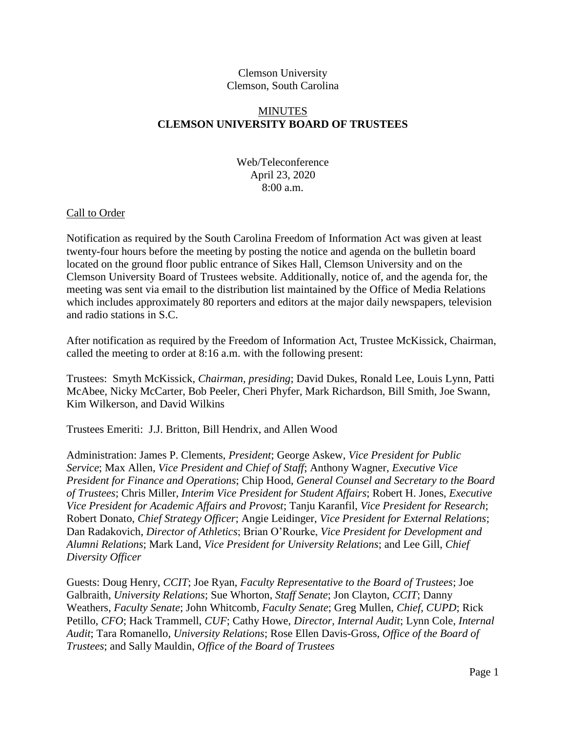## Clemson University Clemson, South Carolina

# **MINUTES CLEMSON UNIVERSITY BOARD OF TRUSTEES**

# Web/Teleconference April 23, 2020 8:00 a.m.

## Call to Order

Notification as required by the South Carolina Freedom of Information Act was given at least twenty-four hours before the meeting by posting the notice and agenda on the bulletin board located on the ground floor public entrance of Sikes Hall, Clemson University and on the Clemson University Board of Trustees website. Additionally, notice of, and the agenda for, the meeting was sent via email to the distribution list maintained by the Office of Media Relations which includes approximately 80 reporters and editors at the major daily newspapers, television and radio stations in S.C.

After notification as required by the Freedom of Information Act, Trustee McKissick, Chairman, called the meeting to order at 8:16 a.m. with the following present:

Trustees: Smyth McKissick, *Chairman, presiding*; David Dukes, Ronald Lee, Louis Lynn, Patti McAbee, Nicky McCarter, Bob Peeler, Cheri Phyfer, Mark Richardson, Bill Smith, Joe Swann, Kim Wilkerson, and David Wilkins

Trustees Emeriti: J.J. Britton, Bill Hendrix, and Allen Wood

Administration: James P. Clements, *President*; George Askew, *Vice President for Public Service*; Max Allen, *Vice President and Chief of Staff*; Anthony Wagner, *Executive Vice President for Finance and Operations*; Chip Hood, *General Counsel and Secretary to the Board of Trustees*; Chris Miller, *Interim Vice President for Student Affairs*; Robert H. Jones, *Executive Vice President for Academic Affairs and Provost*; Tanju Karanfil, *Vice President for Research*; Robert Donato, *Chief Strategy Officer*; Angie Leidinger, *Vice President for External Relations*; Dan Radakovich, *Director of Athletics*; Brian O'Rourke, *Vice President for Development and Alumni Relations*; Mark Land, *Vice President for University Relations*; and Lee Gill, *Chief Diversity Officer*

Guests: Doug Henry, *CCIT*; Joe Ryan, *Faculty Representative to the Board of Trustees*; Joe Galbraith, *University Relations*; Sue Whorton, *Staff Senate*; Jon Clayton, *CCIT*; Danny Weathers, *Faculty Senate*; John Whitcomb, *Faculty Senate*; Greg Mullen, *Chief, CUPD*; Rick Petillo, *CFO*; Hack Trammell, *CUF*; Cathy Howe, *Director, Internal Audit*; Lynn Cole, *Internal Audit*; Tara Romanello, *University Relations*; Rose Ellen Davis-Gross, *Office of the Board of Trustees*; and Sally Mauldin, *Office of the Board of Trustees*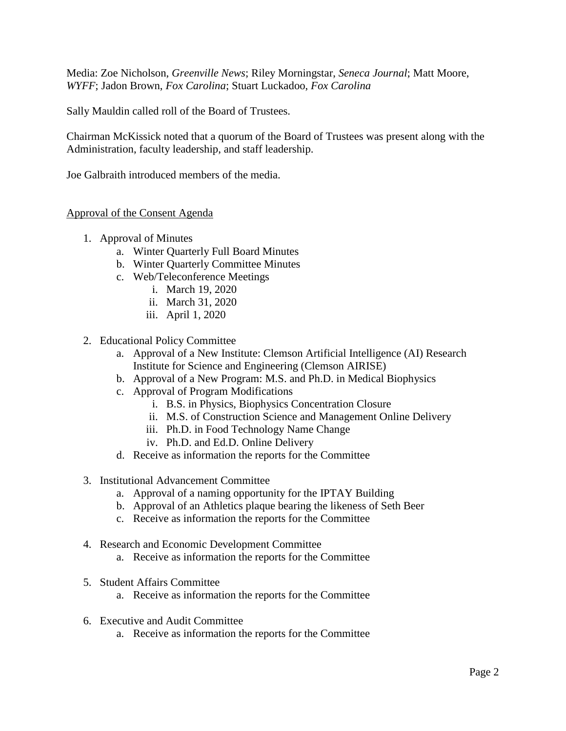Media: Zoe Nicholson, *Greenville News*; Riley Morningstar, *Seneca Journal*; Matt Moore, *WYFF*; Jadon Brown, *Fox Carolina*; Stuart Luckadoo, *Fox Carolina*

Sally Mauldin called roll of the Board of Trustees.

Chairman McKissick noted that a quorum of the Board of Trustees was present along with the Administration, faculty leadership, and staff leadership.

Joe Galbraith introduced members of the media.

### Approval of the Consent Agenda

- 1. Approval of Minutes
	- a. Winter Quarterly Full Board Minutes
	- b. Winter Quarterly Committee Minutes
	- c. Web/Teleconference Meetings
		- i. March 19, 2020
		- ii. March 31, 2020
		- iii. April 1, 2020
- 2. Educational Policy Committee
	- a. Approval of a New Institute: Clemson Artificial Intelligence (AI) Research Institute for Science and Engineering (Clemson AIRISE)
	- b. Approval of a New Program: M.S. and Ph.D. in Medical Biophysics
	- c. Approval of Program Modifications
		- i. B.S. in Physics, Biophysics Concentration Closure
		- ii. M.S. of Construction Science and Management Online Delivery
		- iii. Ph.D. in Food Technology Name Change
		- iv. Ph.D. and Ed.D. Online Delivery
	- d. Receive as information the reports for the Committee
- 3. Institutional Advancement Committee
	- a. Approval of a naming opportunity for the IPTAY Building
	- b. Approval of an Athletics plaque bearing the likeness of Seth Beer
	- c. Receive as information the reports for the Committee
- 4. Research and Economic Development Committee
	- a. Receive as information the reports for the Committee
- 5. Student Affairs Committee
	- a. Receive as information the reports for the Committee
- 6. Executive and Audit Committee
	- a. Receive as information the reports for the Committee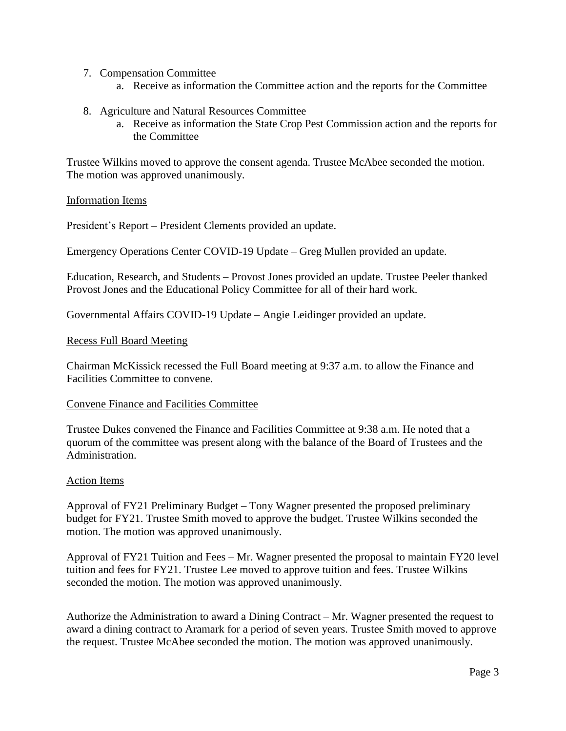- 7. Compensation Committee
	- a. Receive as information the Committee action and the reports for the Committee
- 8. Agriculture and Natural Resources Committee
	- a. Receive as information the State Crop Pest Commission action and the reports for the Committee

Trustee Wilkins moved to approve the consent agenda. Trustee McAbee seconded the motion. The motion was approved unanimously.

### Information Items

President's Report – President Clements provided an update.

Emergency Operations Center COVID-19 Update – Greg Mullen provided an update.

Education, Research, and Students – Provost Jones provided an update. Trustee Peeler thanked Provost Jones and the Educational Policy Committee for all of their hard work.

Governmental Affairs COVID-19 Update – Angie Leidinger provided an update.

#### Recess Full Board Meeting

Chairman McKissick recessed the Full Board meeting at 9:37 a.m. to allow the Finance and Facilities Committee to convene.

#### Convene Finance and Facilities Committee

Trustee Dukes convened the Finance and Facilities Committee at 9:38 a.m. He noted that a quorum of the committee was present along with the balance of the Board of Trustees and the Administration.

#### Action Items

Approval of FY21 Preliminary Budget – Tony Wagner presented the proposed preliminary budget for FY21. Trustee Smith moved to approve the budget. Trustee Wilkins seconded the motion. The motion was approved unanimously.

Approval of FY21 Tuition and Fees – Mr. Wagner presented the proposal to maintain FY20 level tuition and fees for FY21. Trustee Lee moved to approve tuition and fees. Trustee Wilkins seconded the motion. The motion was approved unanimously.

Authorize the Administration to award a Dining Contract – Mr. Wagner presented the request to award a dining contract to Aramark for a period of seven years. Trustee Smith moved to approve the request. Trustee McAbee seconded the motion. The motion was approved unanimously.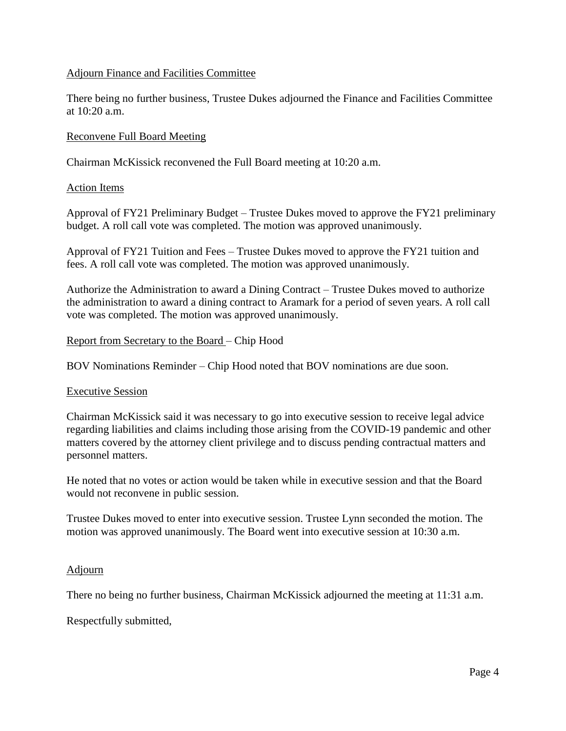# Adjourn Finance and Facilities Committee

There being no further business, Trustee Dukes adjourned the Finance and Facilities Committee at 10:20 a.m.

# Reconvene Full Board Meeting

Chairman McKissick reconvened the Full Board meeting at 10:20 a.m.

## Action Items

Approval of FY21 Preliminary Budget – Trustee Dukes moved to approve the FY21 preliminary budget. A roll call vote was completed. The motion was approved unanimously.

Approval of FY21 Tuition and Fees – Trustee Dukes moved to approve the FY21 tuition and fees. A roll call vote was completed. The motion was approved unanimously.

Authorize the Administration to award a Dining Contract – Trustee Dukes moved to authorize the administration to award a dining contract to Aramark for a period of seven years. A roll call vote was completed. The motion was approved unanimously.

### Report from Secretary to the Board – Chip Hood

BOV Nominations Reminder – Chip Hood noted that BOV nominations are due soon.

#### Executive Session

Chairman McKissick said it was necessary to go into executive session to receive legal advice regarding liabilities and claims including those arising from the COVID-19 pandemic and other matters covered by the attorney client privilege and to discuss pending contractual matters and personnel matters.

He noted that no votes or action would be taken while in executive session and that the Board would not reconvene in public session.

Trustee Dukes moved to enter into executive session. Trustee Lynn seconded the motion. The motion was approved unanimously. The Board went into executive session at 10:30 a.m.

## Adjourn

There no being no further business, Chairman McKissick adjourned the meeting at 11:31 a.m.

Respectfully submitted,